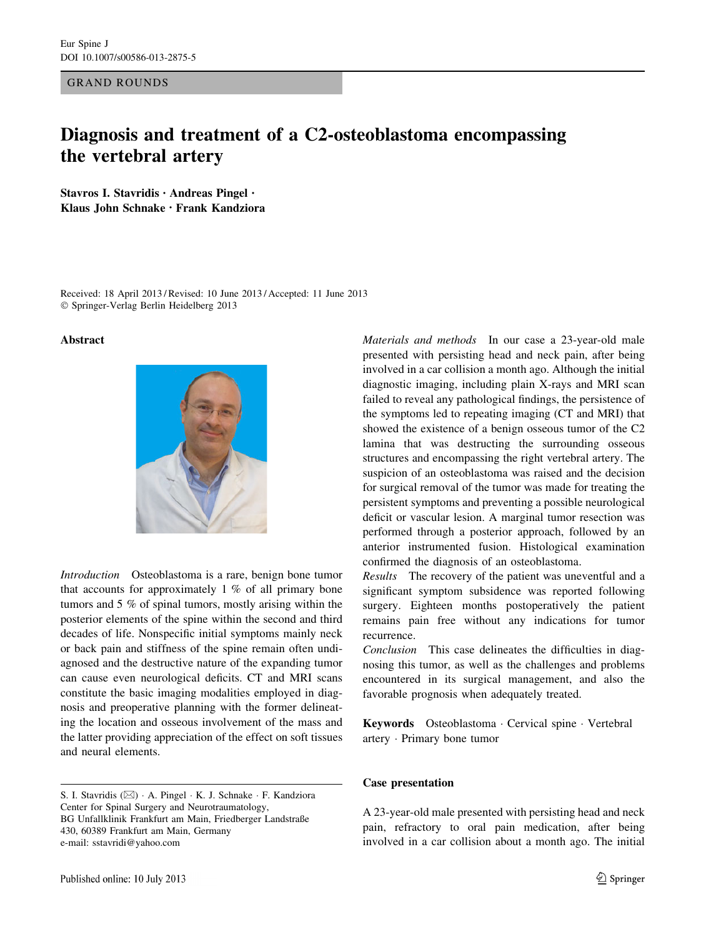GRAND ROUNDS

# Diagnosis and treatment of a C2-osteoblastoma encompassing the vertebral artery

Stavros I. Stavridis • Andreas Pingel • Klaus John Schnake • Frank Kandziora

Received: 18 April 2013 / Revised: 10 June 2013 / Accepted: 11 June 2013 - Springer-Verlag Berlin Heidelberg 2013

### Abstract



Introduction Osteoblastoma is a rare, benign bone tumor that accounts for approximately 1 % of all primary bone tumors and 5 % of spinal tumors, mostly arising within the posterior elements of the spine within the second and third decades of life. Nonspecific initial symptoms mainly neck or back pain and stiffness of the spine remain often undiagnosed and the destructive nature of the expanding tumor can cause even neurological deficits. CT and MRI scans constitute the basic imaging modalities employed in diagnosis and preoperative planning with the former delineating the location and osseous involvement of the mass and the latter providing appreciation of the effect on soft tissues and neural elements.

S. I. Stavridis (⊠) · A. Pingel · K. J. Schnake · F. Kandziora Center for Spinal Surgery and Neurotraumatology, BG Unfallklinik Frankfurt am Main, Friedberger Landstraße 430, 60389 Frankfurt am Main, Germany e-mail: sstavridi@yahoo.com

Materials and methods In our case a 23-year-old male presented with persisting head and neck pain, after being involved in a car collision a month ago. Although the initial diagnostic imaging, including plain X-rays and MRI scan failed to reveal any pathological findings, the persistence of the symptoms led to repeating imaging (CT and MRI) that showed the existence of a benign osseous tumor of the C2 lamina that was destructing the surrounding osseous structures and encompassing the right vertebral artery. The suspicion of an osteoblastoma was raised and the decision for surgical removal of the tumor was made for treating the persistent symptoms and preventing a possible neurological deficit or vascular lesion. A marginal tumor resection was performed through a posterior approach, followed by an anterior instrumented fusion. Histological examination confirmed the diagnosis of an osteoblastoma.

Results The recovery of the patient was uneventful and a significant symptom subsidence was reported following surgery. Eighteen months postoperatively the patient remains pain free without any indications for tumor recurrence.

Conclusion This case delineates the difficulties in diagnosing this tumor, as well as the challenges and problems encountered in its surgical management, and also the favorable prognosis when adequately treated.

Keywords Osteoblastoma - Cervical spine - Vertebral artery - Primary bone tumor

#### Case presentation

A 23-year-old male presented with persisting head and neck pain, refractory to oral pain medication, after being involved in a car collision about a month ago. The initial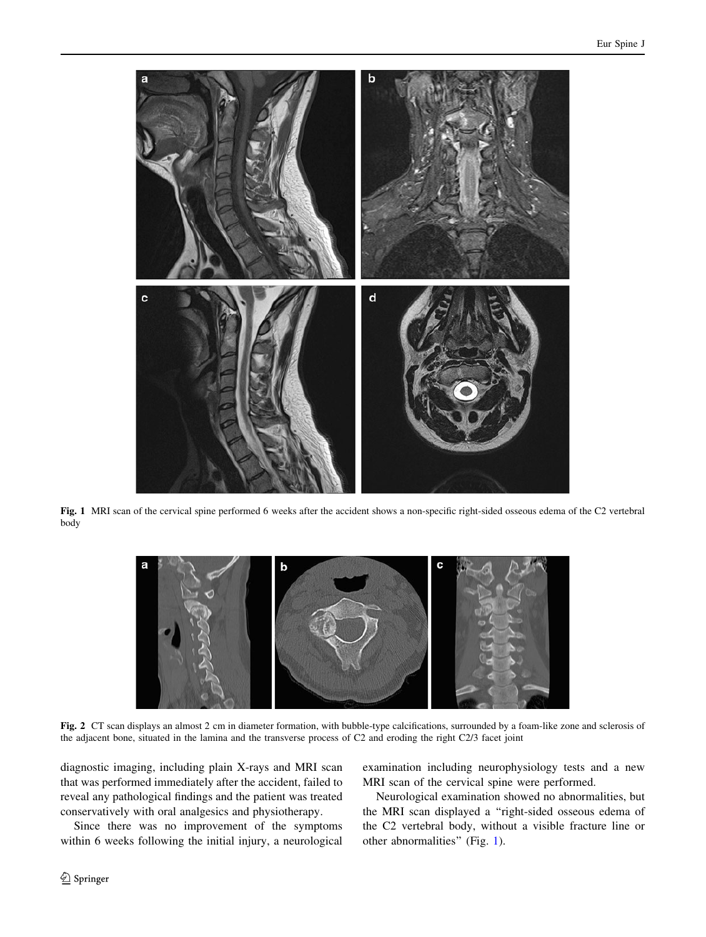<span id="page-1-0"></span>

Fig. 1 MRI scan of the cervical spine performed 6 weeks after the accident shows a non-specific right-sided osseous edema of the C2 vertebral body



Fig. 2 CT scan displays an almost 2 cm in diameter formation, with bubble-type calcifications, surrounded by a foam-like zone and sclerosis of the adjacent bone, situated in the lamina and the transverse process of C2 and eroding the right C2/3 facet joint

diagnostic imaging, including plain X-rays and MRI scan that was performed immediately after the accident, failed to reveal any pathological findings and the patient was treated conservatively with oral analgesics and physiotherapy.

Since there was no improvement of the symptoms within 6 weeks following the initial injury, a neurological examination including neurophysiology tests and a new MRI scan of the cervical spine were performed.

Neurological examination showed no abnormalities, but the MRI scan displayed a ''right-sided osseous edema of the C2 vertebral body, without a visible fracture line or other abnormalities'' (Fig. 1).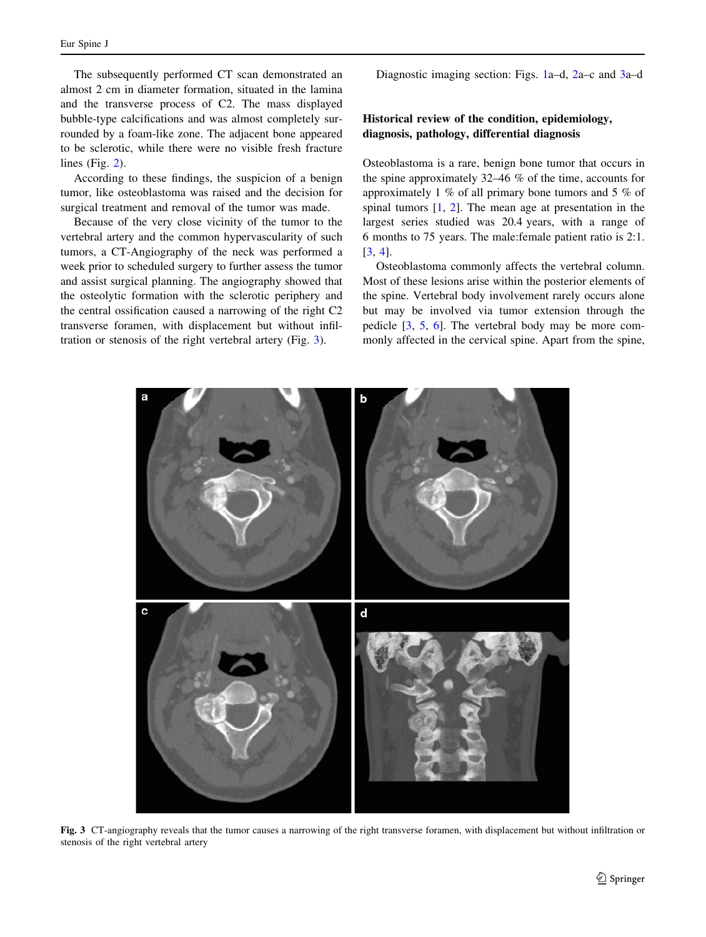The subsequently performed CT scan demonstrated an almost 2 cm in diameter formation, situated in the lamina and the transverse process of C2. The mass displayed bubble-type calcifications and was almost completely surrounded by a foam-like zone. The adjacent bone appeared to be sclerotic, while there were no visible fresh fracture lines (Fig. [2\)](#page-1-0).

According to these findings, the suspicion of a benign tumor, like osteoblastoma was raised and the decision for surgical treatment and removal of the tumor was made.

Because of the very close vicinity of the tumor to the vertebral artery and the common hypervascularity of such tumors, a CT-Angiography of the neck was performed a week prior to scheduled surgery to further assess the tumor and assist surgical planning. The angiography showed that the osteolytic formation with the sclerotic periphery and the central ossification caused a narrowing of the right C2 transverse foramen, with displacement but without infiltration or stenosis of the right vertebral artery (Fig. 3).

Diagnostic imaging section: Figs. [1a](#page-1-0)–d, [2](#page-1-0)a–c and 3a–d

# Historical review of the condition, epidemiology, diagnosis, pathology, differential diagnosis

Osteoblastoma is a rare, benign bone tumor that occurs in the spine approximately 32–46 % of the time, accounts for approximately 1 % of all primary bone tumors and 5 % of spinal tumors  $[1, 2]$  $[1, 2]$  $[1, 2]$  $[1, 2]$ . The mean age at presentation in the largest series studied was 20.4 years, with a range of 6 months to 75 years. The male:female patient ratio is 2:1. [\[3](#page-7-0), [4](#page-7-0)].

Osteoblastoma commonly affects the vertebral column. Most of these lesions arise within the posterior elements of the spine. Vertebral body involvement rarely occurs alone but may be involved via tumor extension through the pedicle [[3,](#page-7-0) [5](#page-7-0), [6\]](#page-7-0). The vertebral body may be more commonly affected in the cervical spine. Apart from the spine,



Fig. 3 CT-angiography reveals that the tumor causes a narrowing of the right transverse foramen, with displacement but without infiltration or stenosis of the right vertebral artery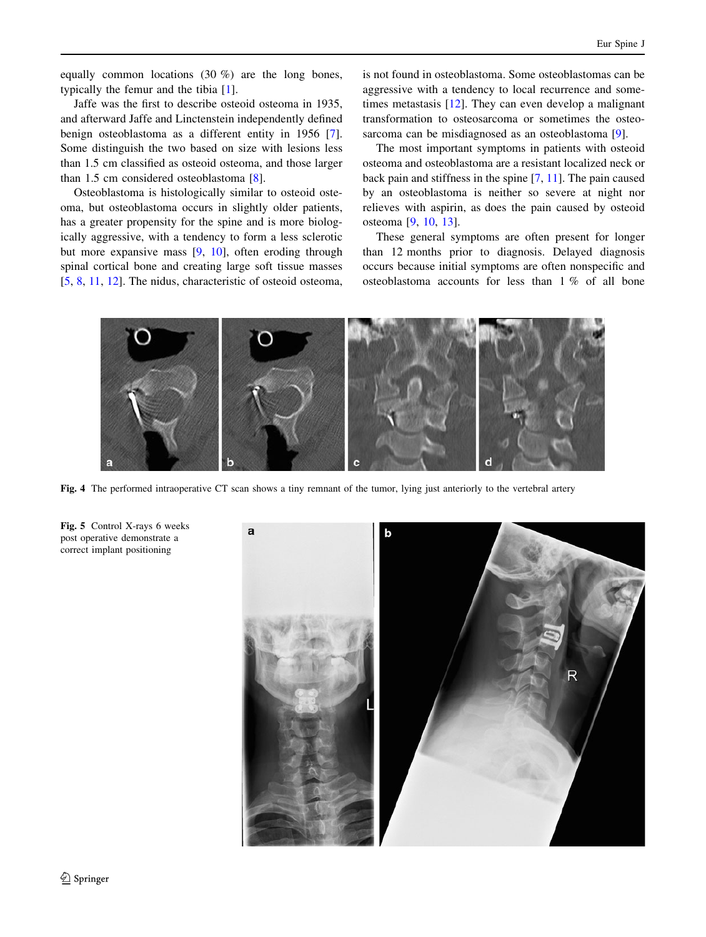<span id="page-3-0"></span>equally common locations  $(30 \%)$  are the long bones, typically the femur and the tibia [\[1](#page-7-0)].

Jaffe was the first to describe osteoid osteoma in 1935, and afterward Jaffe and Linctenstein independently defined benign osteoblastoma as a different entity in 1956 [\[7](#page-7-0)]. Some distinguish the two based on size with lesions less than 1.5 cm classified as osteoid osteoma, and those larger than 1.5 cm considered osteoblastoma [[8\]](#page-7-0).

Osteoblastoma is histologically similar to osteoid osteoma, but osteoblastoma occurs in slightly older patients, has a greater propensity for the spine and is more biologically aggressive, with a tendency to form a less sclerotic but more expansive mass [[9,](#page-7-0) [10\]](#page-8-0), often eroding through spinal cortical bone and creating large soft tissue masses [\[5](#page-7-0), [8,](#page-7-0) [11,](#page-8-0) [12](#page-8-0)]. The nidus, characteristic of osteoid osteoma, is not found in osteoblastoma. Some osteoblastomas can be aggressive with a tendency to local recurrence and sometimes metastasis [[12\]](#page-8-0). They can even develop a malignant transformation to osteosarcoma or sometimes the osteosarcoma can be misdiagnosed as an osteoblastoma [[9\]](#page-7-0).

The most important symptoms in patients with osteoid osteoma and osteoblastoma are a resistant localized neck or back pain and stiffness in the spine [\[7](#page-7-0), [11](#page-8-0)]. The pain caused by an osteoblastoma is neither so severe at night nor relieves with aspirin, as does the pain caused by osteoid osteoma [\[9](#page-7-0), [10,](#page-8-0) [13\]](#page-8-0).

These general symptoms are often present for longer than 12 months prior to diagnosis. Delayed diagnosis occurs because initial symptoms are often nonspecific and osteoblastoma accounts for less than 1 % of all bone



Fig. 4 The performed intraoperative CT scan shows a tiny remnant of the tumor, lying just anteriorly to the vertebral artery

Fig. 5 Control X-rays 6 weeks post operative demonstrate a correct implant positioning

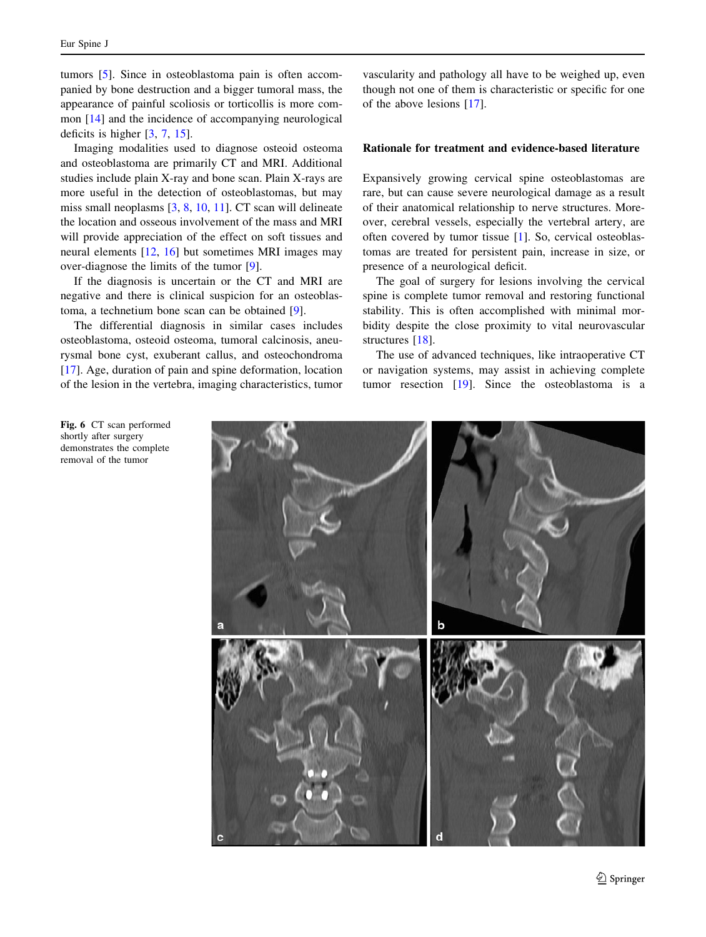<span id="page-4-0"></span>tumors [\[5](#page-7-0)]. Since in osteoblastoma pain is often accompanied by bone destruction and a bigger tumoral mass, the appearance of painful scoliosis or torticollis is more common [\[14](#page-8-0)] and the incidence of accompanying neurological deficits is higher [\[3](#page-7-0), [7](#page-7-0), [15](#page-8-0)].

Imaging modalities used to diagnose osteoid osteoma and osteoblastoma are primarily CT and MRI. Additional studies include plain X-ray and bone scan. Plain X-rays are more useful in the detection of osteoblastomas, but may miss small neoplasms [[3,](#page-7-0) [8,](#page-7-0) [10,](#page-8-0) [11](#page-8-0)]. CT scan will delineate the location and osseous involvement of the mass and MRI will provide appreciation of the effect on soft tissues and neural elements [\[12](#page-8-0), [16](#page-8-0)] but sometimes MRI images may over-diagnose the limits of the tumor [[9\]](#page-7-0).

If the diagnosis is uncertain or the CT and MRI are negative and there is clinical suspicion for an osteoblastoma, a technetium bone scan can be obtained [[9\]](#page-7-0).

The differential diagnosis in similar cases includes osteoblastoma, osteoid osteoma, tumoral calcinosis, aneurysmal bone cyst, exuberant callus, and osteochondroma [\[17](#page-8-0)]. Age, duration of pain and spine deformation, location of the lesion in the vertebra, imaging characteristics, tumor

vascularity and pathology all have to be weighed up, even though not one of them is characteristic or specific for one of the above lesions [\[17](#page-8-0)].

# Rationale for treatment and evidence-based literature

Expansively growing cervical spine osteoblastomas are rare, but can cause severe neurological damage as a result of their anatomical relationship to nerve structures. Moreover, cerebral vessels, especially the vertebral artery, are often covered by tumor tissue [[1\]](#page-7-0). So, cervical osteoblastomas are treated for persistent pain, increase in size, or presence of a neurological deficit.

The goal of surgery for lesions involving the cervical spine is complete tumor removal and restoring functional stability. This is often accomplished with minimal morbidity despite the close proximity to vital neurovascular structures [[18\]](#page-8-0).

The use of advanced techniques, like intraoperative CT or navigation systems, may assist in achieving complete tumor resection [[19\]](#page-8-0). Since the osteoblastoma is a



Fig. 6 CT scan performed shortly after surgery demonstrates the complete removal of the tumor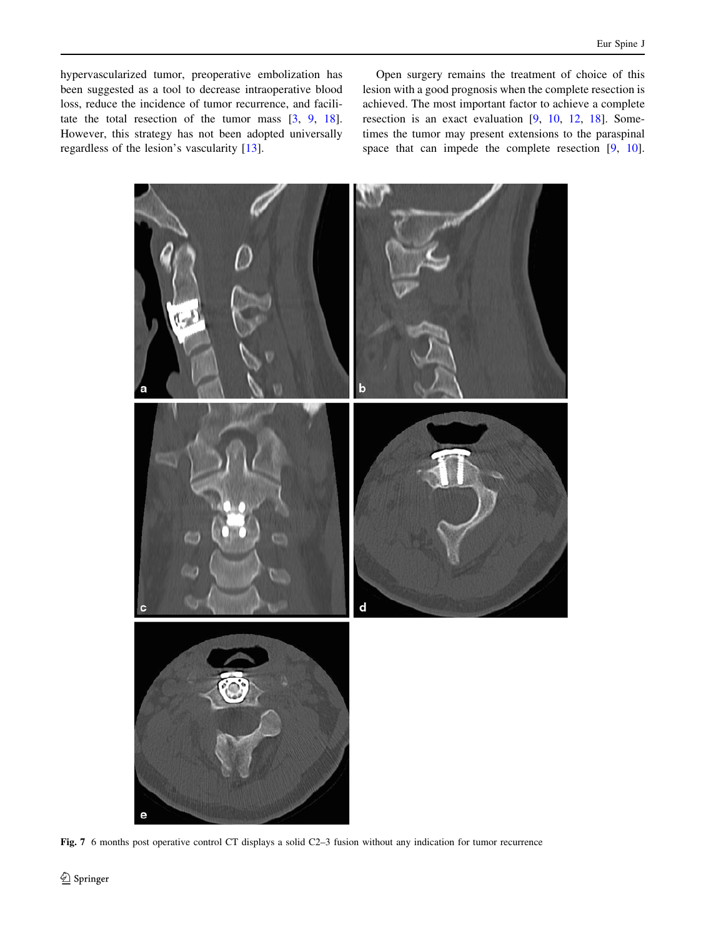<span id="page-5-0"></span>hypervascularized tumor, preoperative embolization has been suggested as a tool to decrease intraoperative blood loss, reduce the incidence of tumor recurrence, and facilitate the total resection of the tumor mass [[3,](#page-7-0) [9,](#page-7-0) [18](#page-8-0)]. However, this strategy has not been adopted universally regardless of the lesion's vascularity [\[13](#page-8-0)].

Open surgery remains the treatment of choice of this lesion with a good prognosis when the complete resection is achieved. The most important factor to achieve a complete resection is an exact evaluation [[9,](#page-7-0) [10](#page-8-0), [12,](#page-8-0) [18](#page-8-0)]. Sometimes the tumor may present extensions to the paraspinal space that can impede the complete resection [\[9](#page-7-0), [10](#page-8-0)].



Fig. 7 6 months post operative control CT displays a solid C2–3 fusion without any indication for tumor recurrence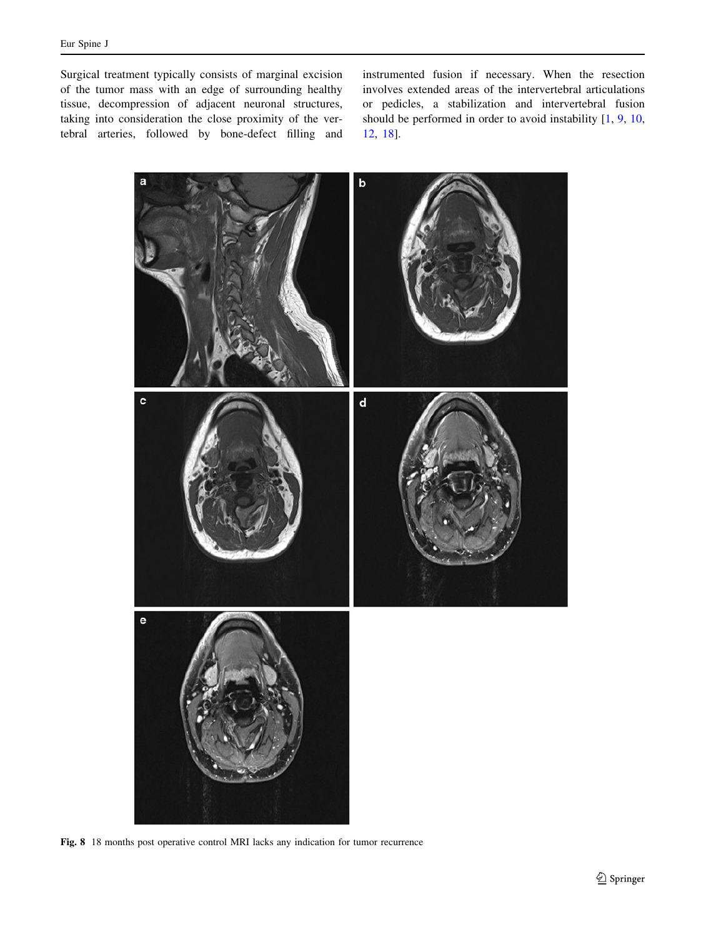<span id="page-6-0"></span>Surgical treatment typically consists of marginal excision of the tumor mass with an edge of surrounding healthy tissue, decompression of adjacent neuronal structures, taking into consideration the close proximity of the vertebral arteries, followed by bone-defect filling and

instrumented fusion if necessary. When the resection involves extended areas of the intervertebral articulations or pedicles, a stabilization and intervertebral fusion should be performed in order to avoid instability [[1,](#page-7-0) [9](#page-7-0), [10,](#page-8-0) [12](#page-8-0), [18\]](#page-8-0).



Fig. 8 18 months post operative control MRI lacks any indication for tumor recurrence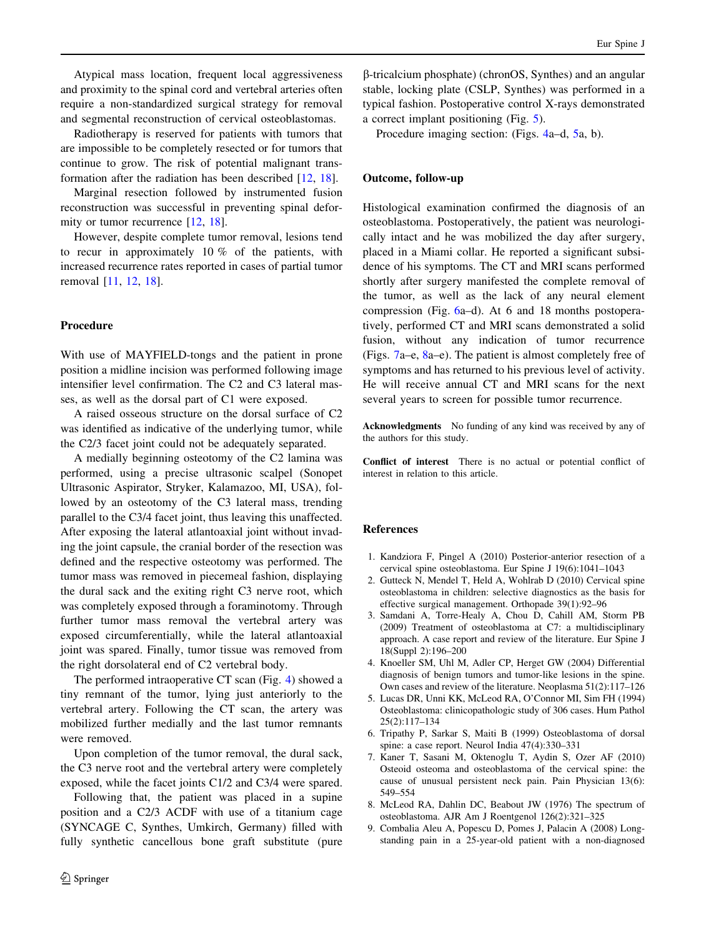<span id="page-7-0"></span>Atypical mass location, frequent local aggressiveness and proximity to the spinal cord and vertebral arteries often require a non-standardized surgical strategy for removal and segmental reconstruction of cervical osteoblastomas.

Radiotherapy is reserved for patients with tumors that are impossible to be completely resected or for tumors that continue to grow. The risk of potential malignant transformation after the radiation has been described [\[12](#page-8-0), [18\]](#page-8-0).

Marginal resection followed by instrumented fusion reconstruction was successful in preventing spinal defor-mity or tumor recurrence [[12,](#page-8-0) [18](#page-8-0)].

However, despite complete tumor removal, lesions tend to recur in approximately 10 % of the patients, with increased recurrence rates reported in cases of partial tumor removal [[11,](#page-8-0) [12](#page-8-0), [18](#page-8-0)].

# Procedure

With use of MAYFIELD-tongs and the patient in prone position a midline incision was performed following image intensifier level confirmation. The C2 and C3 lateral masses, as well as the dorsal part of C1 were exposed.

A raised osseous structure on the dorsal surface of C2 was identified as indicative of the underlying tumor, while the C2/3 facet joint could not be adequately separated.

A medially beginning osteotomy of the C2 lamina was performed, using a precise ultrasonic scalpel (Sonopet Ultrasonic Aspirator, Stryker, Kalamazoo, MI, USA), followed by an osteotomy of the C3 lateral mass, trending parallel to the C3/4 facet joint, thus leaving this unaffected. After exposing the lateral atlantoaxial joint without invading the joint capsule, the cranial border of the resection was defined and the respective osteotomy was performed. The tumor mass was removed in piecemeal fashion, displaying the dural sack and the exiting right C3 nerve root, which was completely exposed through a foraminotomy. Through further tumor mass removal the vertebral artery was exposed circumferentially, while the lateral atlantoaxial joint was spared. Finally, tumor tissue was removed from the right dorsolateral end of C2 vertebral body.

The performed intraoperative CT scan (Fig. [4\)](#page-3-0) showed a tiny remnant of the tumor, lying just anteriorly to the vertebral artery. Following the CT scan, the artery was mobilized further medially and the last tumor remnants were removed.

Upon completion of the tumor removal, the dural sack, the C3 nerve root and the vertebral artery were completely exposed, while the facet joints C1/2 and C3/4 were spared.

Following that, the patient was placed in a supine position and a C2/3 ACDF with use of a titanium cage (SYNCAGE C, Synthes, Umkirch, Germany) filled with fully synthetic cancellous bone graft substitute (pure

b-tricalcium phosphate) (chronOS, Synthes) and an angular stable, locking plate (CSLP, Synthes) was performed in a typical fashion. Postoperative control X-rays demonstrated a correct implant positioning (Fig. [5\)](#page-3-0).

Procedure imaging section: (Figs. [4](#page-3-0)a–d, [5a](#page-3-0), b).

#### Outcome, follow-up

Histological examination confirmed the diagnosis of an osteoblastoma. Postoperatively, the patient was neurologically intact and he was mobilized the day after surgery, placed in a Miami collar. He reported a significant subsidence of his symptoms. The CT and MRI scans performed shortly after surgery manifested the complete removal of the tumor, as well as the lack of any neural element compression (Fig. [6](#page-4-0)a–d). At 6 and 18 months postoperatively, performed CT and MRI scans demonstrated a solid fusion, without any indication of tumor recurrence (Figs. [7](#page-5-0)a–e, [8](#page-6-0)a–e). The patient is almost completely free of symptoms and has returned to his previous level of activity. He will receive annual CT and MRI scans for the next several years to screen for possible tumor recurrence.

Acknowledgments No funding of any kind was received by any of the authors for this study.

Conflict of interest There is no actual or potential conflict of interest in relation to this article.

#### References

- 1. Kandziora F, Pingel A (2010) Posterior-anterior resection of a cervical spine osteoblastoma. Eur Spine J 19(6):1041–1043
- 2. Gutteck N, Mendel T, Held A, Wohlrab D (2010) Cervical spine osteoblastoma in children: selective diagnostics as the basis for effective surgical management. Orthopade 39(1):92–96
- 3. Samdani A, Torre-Healy A, Chou D, Cahill AM, Storm PB (2009) Treatment of osteoblastoma at C7: a multidisciplinary approach. A case report and review of the literature. Eur Spine J 18(Suppl 2):196–200
- 4. Knoeller SM, Uhl M, Adler CP, Herget GW (2004) Differential diagnosis of benign tumors and tumor-like lesions in the spine. Own cases and review of the literature. Neoplasma 51(2):117–126
- 5. Lucas DR, Unni KK, McLeod RA, O'Connor MI, Sim FH (1994) Osteoblastoma: clinicopathologic study of 306 cases. Hum Pathol 25(2):117–134
- 6. Tripathy P, Sarkar S, Maiti B (1999) Osteoblastoma of dorsal spine: a case report. Neurol India 47(4):330–331
- 7. Kaner T, Sasani M, Oktenoglu T, Aydin S, Ozer AF (2010) Osteoid osteoma and osteoblastoma of the cervical spine: the cause of unusual persistent neck pain. Pain Physician 13(6): 549–554
- 8. McLeod RA, Dahlin DC, Beabout JW (1976) The spectrum of osteoblastoma. AJR Am J Roentgenol 126(2):321–325
- 9. Combalia Aleu A, Popescu D, Pomes J, Palacin A (2008) Longstanding pain in a 25-year-old patient with a non-diagnosed